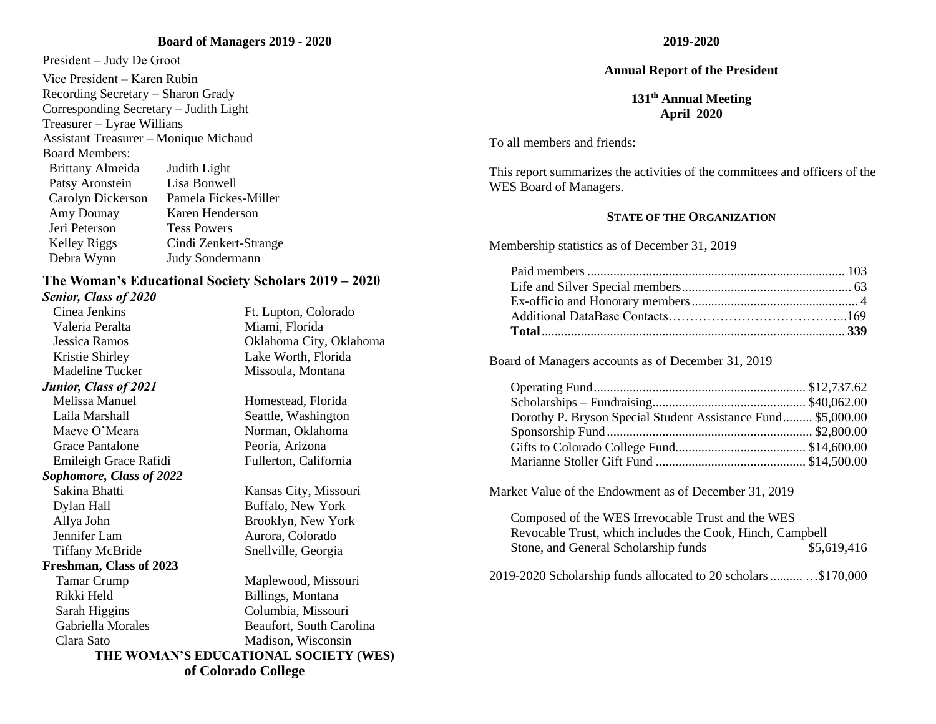#### **Board of Managers 2019 - 2020**

President – Judy De Groot Vice President – Karen Rubin Recording Secretary – Sharon Grady Corresponding Secretary – Judith Light Treasurer – Lyrae Willians Assistant Treasurer – Monique Michaud Board Members: Brittany Almeida Judith Light Patsy Aronstein Lisa Bonwell Carolyn Dickerson Pamela Fickes-Miller Amy Dounay Karen Henderson Jeri Peterson Tess Powers Kelley Riggs Cindi Zenkert-Strange Debra Wynn Judy Sondermann

#### **The Woman's Educational Society Scholars 2019 – 2020** *Senior, Class of 2020*

Cinea Jenkins Ft. Lupton, Colorado Valeria Peralta **Miami**, Florida Kristie Shirley Lake Worth, Florida Madeline Tucker Missoula, Montana *Junior, Class of 2021* Melissa Manuel Homestead, Florida Laila Marshall Seattle, Washington Maeve O'Meara Norman, Oklahoma Grace Pantalone Peoria, Arizona Emileigh Grace Rafidi Fullerton, California *Sophomore, Class of 2022* Sakina Bhatti Kansas City, Missouri Dylan Hall Buffalo, New York Allya John Brooklyn, New York Jennifer Lam Aurora, Colorado Tiffany McBride Snellville, Georgia **Freshman, Class of 2023** Tamar Crump Maplewood, Missouri Rikki Held Billings, Montana

Jessica Ramos Oklahoma City, Oklahoma

 Sarah Higgins Columbia, Missouri Gabriella Morales Beaufort, South Carolina Clara Sato Madison, Wisconsin

### **2019-2020**

#### **Annual Report of the President**

### **131th Annual Meeting April 2020**

To all members and friends:

This report summarizes the activities of the committees and officers of the WES Board of Managers.

#### **STATE OF THE ORGANIZATION**

Membership statistics as of December 31, 2019

Board of Managers accounts as of December 31, 2019

| Dorothy P. Bryson Special Student Assistance Fund \$5,000.00 |  |
|--------------------------------------------------------------|--|
|                                                              |  |
|                                                              |  |
|                                                              |  |

Market Value of the Endowment as of December 31, 2019

Composed of the WES Irrevocable Trust and the WES Revocable Trust, which includes the Cook, Hinch, Campbell Stone, and General Scholarship funds  $$5,619,416$ 

2019-2020 Scholarship funds allocated to 20 scholars.......... …\$170,000

**THE WOMAN'S EDUCATIONAL SOCIETY (WES) of Colorado College**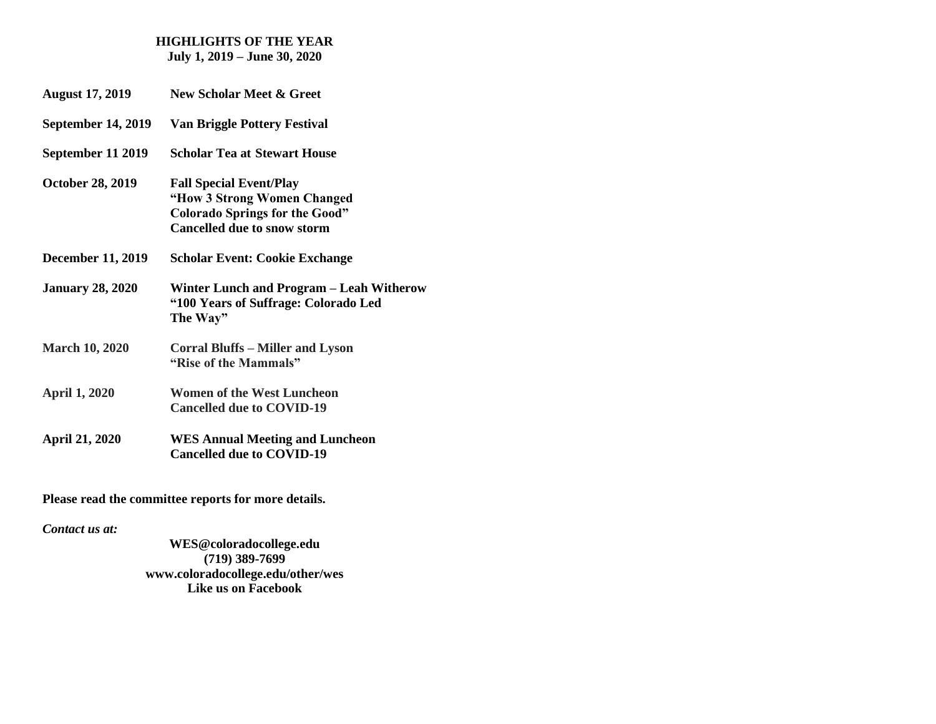#### **HIGHLIGHTS OF THE YEAR July 1, 2019 – June 30, 2020**

- **August 17, 2019 New Scholar Meet & Greet**
- **September 14, 2019 Van Briggle Pottery Festival**
- **September 11 2019 Scholar Tea at Stewart House**
- **October 28, 2019 Fall Special Event/Play "How 3 Strong Women Changed Colorado Springs for the Good" Cancelled due to snow storm**
- **December 11, 2019 Scholar Event: Cookie Exchange**
- **January 28, 2020 Winter Lunch and Program – Leah Witherow "100 Years of Suffrage: Colorado Led The Way"**
- **March 10, 2020 Corral Bluffs – Miller and Lyson "Rise of the Mammals"**
- **April 1, 2020 Women of the West Luncheon Cancelled due to COVID-19**
- **April 21, 2020 WES Annual Meeting and Luncheon Cancelled due to COVID-19**

**Please read the committee reports for more details.**

*Contact us at:*

**WES@coloradocollege.edu (719) 389-7699 [www.coloradocollege.edu/other/wes](about:blank) Like us on Facebook**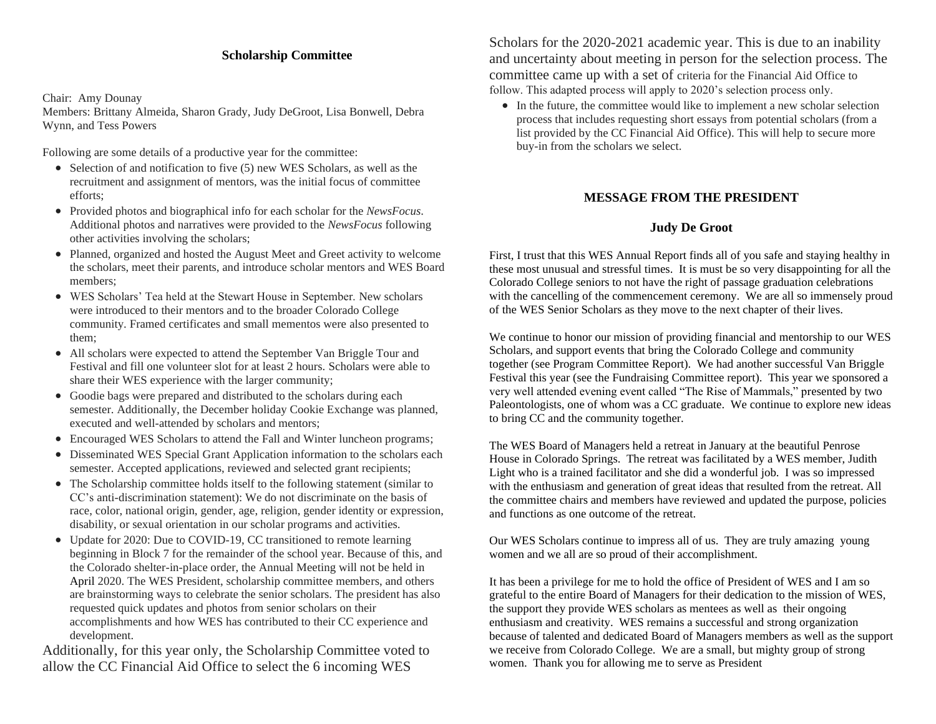### **Scholarship Committee**

#### Chair: Amy Dounay

Members: Brittany Almeida, Sharon Grady, Judy DeGroot, Lisa Bonwell, Debra Wynn, and Tess Powers

Following are some details of a productive year for the committee:

- Selection of and notification to five (5) new WES Scholars, as well as the recruitment and assignment of mentors, was the initial focus of committee efforts;
- Provided photos and biographical info for each scholar for the *NewsFocus*. Additional photos and narratives were provided to the *NewsFocus* following other activities involving the scholars;
- Planned, organized and hosted the August Meet and Greet activity to welcome the scholars, meet their parents, and introduce scholar mentors and WES Board members;
- WES Scholars' Tea held at the Stewart House in September. New scholars were introduced to their mentors and to the broader Colorado College community. Framed certificates and small mementos were also presented to them;
- All scholars were expected to attend the September Van Briggle Tour and Festival and fill one volunteer slot for at least 2 hours. Scholars were able to share their WES experience with the larger community;
- Goodie bags were prepared and distributed to the scholars during each semester. Additionally, the December holiday Cookie Exchange was planned, executed and well-attended by scholars and mentors;
- Encouraged WES Scholars to attend the Fall and Winter luncheon programs;
- Disseminated WES Special Grant Application information to the scholars each semester. Accepted applications, reviewed and selected grant recipients;
- The Scholarship committee holds itself to the following statement (similar to CC's anti-discrimination statement): We do not discriminate on the basis of race, color, national origin, gender, age, religion, gender identity or expression, disability, or sexual orientation in our scholar programs and activities.
- Update for 2020: Due to COVID-19, CC transitioned to remote learning beginning in Block 7 for the remainder of the school year. Because of this, and the Colorado shelter-in-place order, the Annual Meeting will not be held in April 2020. The WES President, scholarship committee members, and others are brainstorming ways to celebrate the senior scholars. The president has also requested quick updates and photos from senior scholars on their accomplishments and how WES has contributed to their CC experience and development.

Additionally, for this year only, the Scholarship Committee voted to allow the CC Financial Aid Office to select the 6 incoming WES

Scholars for the 2020-2021 academic year. This is due to an inability and uncertainty about meeting in person for the selection process. The committee came up with a set of criteria for the Financial Aid Office to follow. This adapted process will apply to 2020's selection process only.

• In the future, the committee would like to implement a new scholar selection process that includes requesting short essays from potential scholars (from a list provided by the CC Financial Aid Office). This will help to secure more buy-in from the scholars we select.

## **MESSAGE FROM THE PRESIDENT**

## **Judy De Groot**

First, I trust that this WES Annual Report finds all of you safe and staying healthy in these most unusual and stressful times. It is must be so very disappointing for all the Colorado College seniors to not have the right of passage graduation celebrations with the cancelling of the commencement ceremony. We are all so immensely proud of the WES Senior Scholars as they move to the next chapter of their lives.

We continue to honor our mission of providing financial and mentorship to our WES Scholars, and support events that bring the Colorado College and community together (see Program Committee Report). We had another successful Van Briggle Festival this year (see the Fundraising Committee report). This year we sponsored a very well attended evening event called "The Rise of Mammals," presented by two Paleontologists, one of whom was a CC graduate. We continue to explore new ideas to bring CC and the community together.

The WES Board of Managers held a retreat in January at the beautiful Penrose House in Colorado Springs. The retreat was facilitated by a WES member, Judith Light who is a trained facilitator and she did a wonderful job. I was so impressed with the enthusiasm and generation of great ideas that resulted from the retreat. All the committee chairs and members have reviewed and updated the purpose, policies and functions as one outcome of the retreat.

Our WES Scholars continue to impress all of us. They are truly amazing young women and we all are so proud of their accomplishment.

It has been a privilege for me to hold the office of President of WES and I am so grateful to the entire Board of Managers for their dedication to the mission of WES, the support they provide WES scholars as mentees as well as their ongoing enthusiasm and creativity. WES remains a successful and strong organization because of talented and dedicated Board of Managers members as well as the support we receive from Colorado College. We are a small, but mighty group of strong women. Thank you for allowing me to serve as President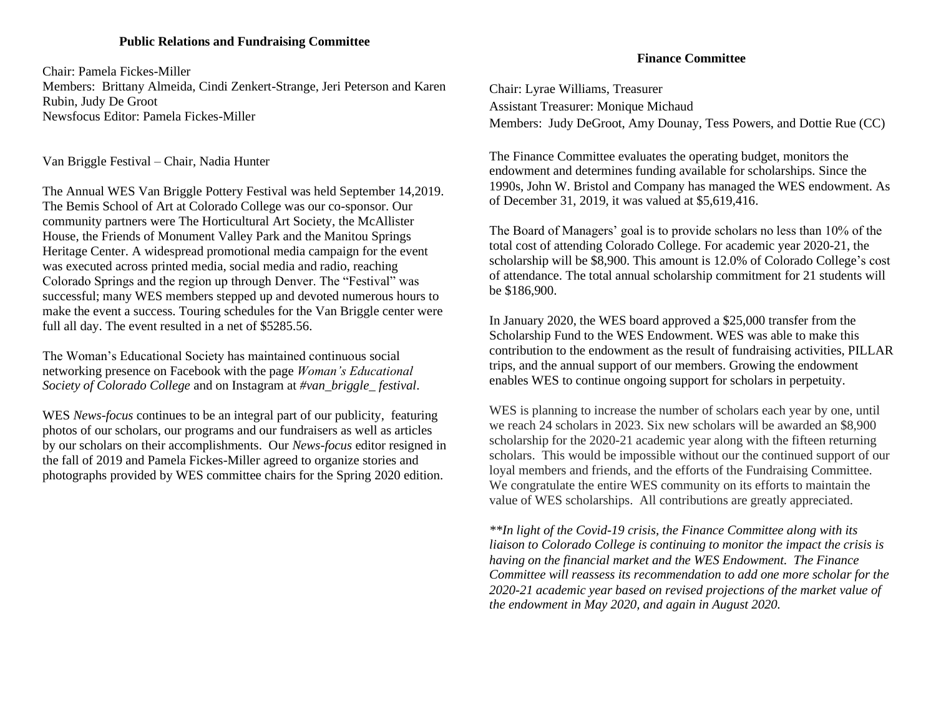### **Public Relations and Fundraising Committee**

Chair: Pamela Fickes-Miller

Members: Brittany Almeida, Cindi Zenkert-Strange, Jeri Peterson and Karen Rubin, Judy De Groot Newsfocus Editor: Pamela Fickes-Miller

Van Briggle Festival – Chair, Nadia Hunter

The Annual WES Van Briggle Pottery Festival was held September 14,2019. The Bemis School of Art at Colorado College was our co-sponsor. Our community partners were The Horticultural Art Society, the McAllister House, the Friends of Monument Valley Park and the Manitou Springs Heritage Center. A widespread promotional media campaign for the event was executed across printed media, social media and radio, reaching Colorado Springs and the region up through Denver. The "Festival" was successful; many WES members stepped up and devoted numerous hours to make the event a success. Touring schedules for the Van Briggle center were full all day. The event resulted in a net of \$5285.56.

The Woman's Educational Society has maintained continuous social networking presence on Facebook with the page *Woman's Educational Society of Colorado College* and on Instagram at *#van\_briggle\_ festival*.

WES *News-focus* continues to be an integral part of our publicity, featuring photos of our scholars, our programs and our fundraisers as well as articles by our scholars on their accomplishments. Our *News-focus* editor resigned in the fall of 2019 and Pamela Fickes-Miller agreed to organize stories and photographs provided by WES committee chairs for the Spring 2020 edition.

## **Finance Committee**

Chair: Lyrae Williams, Treasurer Assistant Treasurer: Monique Michaud Members: Judy DeGroot, Amy Dounay, Tess Powers, and Dottie Rue (CC)

The Finance Committee evaluates the operating budget, monitors the endowment and determines funding available for scholarships. Since the 1990s, John W. Bristol and Company has managed the WES endowment. As of December 31, 2019, it was valued at \$5,619,416.

The Board of Managers' goal is to provide scholars no less than 10% of the total cost of attending Colorado College. For academic year 2020-21, the scholarship will be \$8,900. This amount is 12.0% of Colorado College's cost of attendance. The total annual scholarship commitment for 21 students will be \$186,900.

In January 2020, the WES board approved a \$25,000 transfer from the Scholarship Fund to the WES Endowment. WES was able to make this contribution to the endowment as the result of fundraising activities, PILLAR trips, and the annual support of our members. Growing the endowment enables WES to continue ongoing support for scholars in perpetuity.

WES is planning to increase the number of scholars each year by one, until we reach 24 scholars in 2023. Six new scholars will be awarded an \$8,900 scholarship for the 2020-21 academic year along with the fifteen returning scholars. This would be impossible without our the continued support of our loyal members and friends, and the efforts of the Fundraising Committee. We congratulate the entire WES community on its efforts to maintain the value of WES scholarships. All contributions are greatly appreciated.

*\*\*In light of the Covid-19 crisis, the Finance Committee along with its liaison to Colorado College is continuing to monitor the impact the crisis is having on the financial market and the WES Endowment. The Finance Committee will reassess its recommendation to add one more scholar for the 2020-21 academic year based on revised projections of the market value of the endowment in May 2020, and again in August 2020.*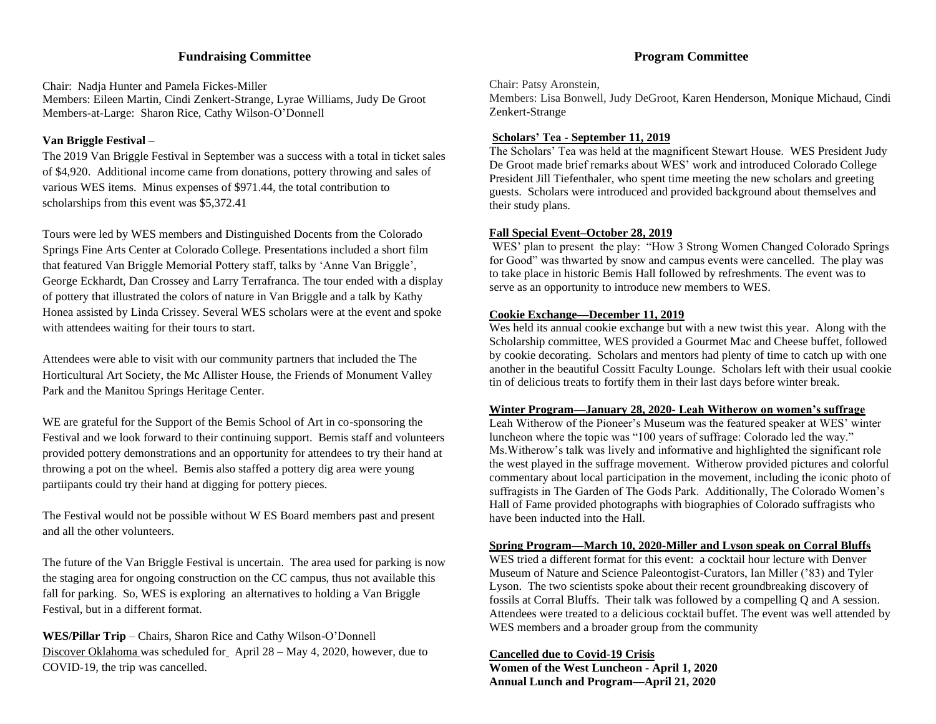### **Fundraising Committee**

Chair: Nadja Hunter and Pamela Fickes-Miller Members: Eileen Martin, Cindi Zenkert-Strange, Lyrae Williams, Judy De Groot Members-at-Large: Sharon Rice, Cathy Wilson-O'Donnell

#### **Van Briggle Festival** –

The 2019 Van Briggle Festival in September was a success with a total in ticket sales of \$4,920. Additional income came from donations, pottery throwing and sales of various WES items. Minus expenses of \$971.44, the total contribution to scholarships from this event was \$5,372.41

Tours were led by WES members and Distinguished Docents from the Colorado Springs Fine Arts Center at Colorado College. Presentations included a short film that featured Van Briggle Memorial Pottery staff, talks by 'Anne Van Briggle', George Eckhardt, Dan Crossey and Larry Terrafranca. The tour ended with a display of pottery that illustrated the colors of nature in Van Briggle and a talk by Kathy Honea assisted by Linda Crissey. Several WES scholars were at the event and spoke with attendees waiting for their tours to start.

Attendees were able to visit with our community partners that included the The Horticultural Art Society, the Mc Allister House, the Friends of Monument Valley Park and the Manitou Springs Heritage Center.

WE are grateful for the Support of the Bemis School of Art in co-sponsoring the Festival and we look forward to their continuing support. Bemis staff and volunteers provided pottery demonstrations and an opportunity for attendees to try their hand at throwing a pot on the wheel. Bemis also staffed a pottery dig area were young partiipants could try their hand at digging for pottery pieces.

The Festival would not be possible without W ES Board members past and present and all the other volunteers.

The future of the Van Briggle Festival is uncertain. The area used for parking is now the staging area for ongoing construction on the CC campus, thus not available this fall for parking. So, WES is exploring an alternatives to holding a Van Briggle Festival, but in a different format.

**WES/Pillar Trip** – Chairs, Sharon Rice and Cathy Wilson-O'Donnell Discover Oklahoma was scheduled for April 28 – May 4, 2020, however, due to COVID-19, the trip was cancelled.

#### **Program Committee**

Chair: Patsy Aronstein, Members: Lisa Bonwell, Judy DeGroot, Karen Henderson, Monique Michaud, Cindi Zenkert-Strange

#### **Scholars' Tea - September 11, 2019**

The Scholars' Tea was held at the magnificent Stewart House. WES President Judy De Groot made brief remarks about WES' work and introduced Colorado College President Jill Tiefenthaler, who spent time meeting the new scholars and greeting guests. Scholars were introduced and provided background about themselves and their study plans.

#### **Fall Special Event–October 28, 2019**

WES' plan to present the play: "How 3 Strong Women Changed Colorado Springs for Good" was thwarted by snow and campus events were cancelled. The play was to take place in historic Bemis Hall followed by refreshments. The event was to serve as an opportunity to introduce new members to WES.

#### **Cookie Exchange—December 11, 2019**

Wes held its annual cookie exchange but with a new twist this year. Along with the Scholarship committee, WES provided a Gourmet Mac and Cheese buffet, followed by cookie decorating. Scholars and mentors had plenty of time to catch up with one another in the beautiful Cossitt Faculty Lounge. Scholars left with their usual cookie tin of delicious treats to fortify them in their last days before winter break.

#### **Winter Program—January 28, 2020- Leah Witherow on women's suffrage**

Leah Witherow of the Pioneer's Museum was the featured speaker at WES' winter luncheon where the topic was "100 years of suffrage: Colorado led the way." Ms.Witherow's talk was lively and informative and highlighted the significant role the west played in the suffrage movement. Witherow provided pictures and colorful commentary about local participation in the movement, including the iconic photo of suffragists in The Garden of The Gods Park. Additionally, The Colorado Women's Hall of Fame provided photographs with biographies of Colorado suffragists who have been inducted into the Hall.

#### **Spring Program—March 10, 2020-Miller and Lyson speak on Corral Bluffs**

WES tried a different format for this event: a cocktail hour lecture with Denver Museum of Nature and Science Paleontogist-Curators, Ian Miller ('83) and Tyler Lyson. The two scientists spoke about their recent groundbreaking discovery of fossils at Corral Bluffs. Their talk was followed by a compelling Q and A session. Attendees were treated to a delicious cocktail buffet. The event was well attended by WES members and a broader group from the community

#### **Cancelled due to Covid-19 Crisis**

**Women of the West Luncheon - April 1, 2020 Annual Lunch and Program—April 21, 2020**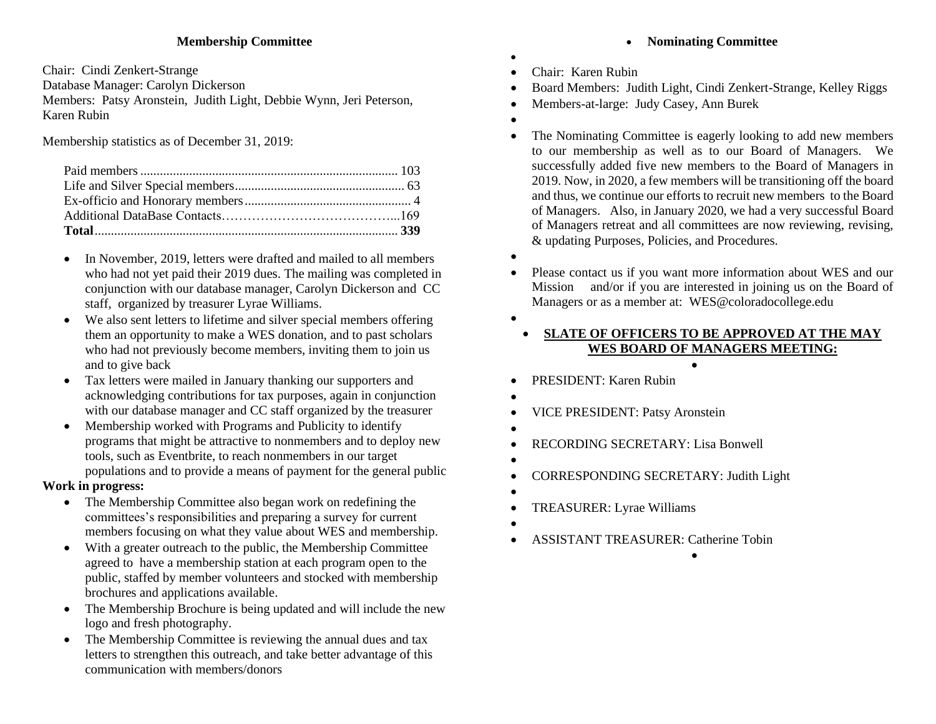## **Membership Committee**

Chair: Cindi Zenkert-Strange

Database Manager: Carolyn Dickerson

Members: Patsy Aronstein, Judith Light, Debbie Wynn, Jeri Peterson, Karen Rubin

Membership statistics as of December 31, 2019:

- In November, 2019, letters were drafted and mailed to all members who had not yet paid their 2019 dues. The mailing was completed in conjunction with our database manager, Carolyn Dickerson and CC staff, organized by treasurer Lyrae Williams.
- We also sent letters to lifetime and silver special members offering them an opportunity to make a WES donation, and to past scholars who had not previously become members, inviting them to join us and to give back
- Tax letters were mailed in January thanking our supporters and acknowledging contributions for tax purposes, again in conjunction with our database manager and CC staff organized by the treasurer
- Membership worked with Programs and Publicity to identify programs that might be attractive to nonmembers and to deploy new tools, such as Eventbrite, to reach nonmembers in our target populations and to provide a means of payment for the general public

## **Work in progress:**

- The Membership Committee also began work on redefining the committees's responsibilities and preparing a survey for current members focusing on what they value about WES and membership.
- With a greater outreach to the public, the Membership Committee agreed to have a membership station at each program open to the public, staffed by member volunteers and stocked with membership brochures and applications available.
- The Membership Brochure is being updated and will include the new logo and fresh photography.
- The Membership Committee is reviewing the annual dues and tax letters to strengthen this outreach, and take better advantage of this communication with members/donors

# • **Nominating Committee**

- • Chair: Karen Rubin
- Board Members: Judith Light, Cindi Zenkert-Strange, Kelley Riggs
- Members-at-large: Judy Casey, Ann Burek
- •
- The Nominating Committee is eagerly looking to add new members to our membership as well as to our Board of Managers. We successfully added five new members to the Board of Managers in 2019. Now, in 2020, a few members will be transitioning off the board and thus, we continue our efforts to recruit new members to the Board of Managers. Also, in January 2020, we had a very successful Board of Managers retreat and all committees are now reviewing, revising, & updating Purposes, Policies, and Procedures.
- •
- Please contact us if you want more information about WES and our Mission and/or if you are interested in joining us on the Board of Managers or as a member at: [WES@coloradocollege.edu](mailto:WES@coloradocollege.edu)
- •

## • **SLATE OF OFFICERS TO BE APPROVED AT THE MAY WES BOARD OF MANAGERS MEETING:**

•

•

- PRESIDENT: Karen Rubin
- •
- VICE PRESIDENT: Patsy Aronstein
- •
- RECORDING SECRETARY: Lisa Bonwell
- •
- CORRESPONDING SECRETARY: Judith Light
- - TREASURER: Lyrae Williams
- - ASSISTANT TREASURER: Catherine Tobin